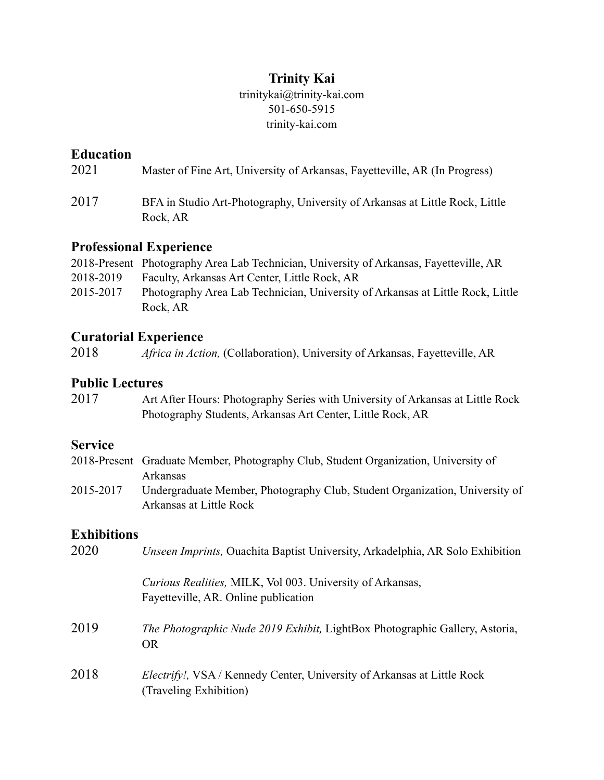### **Trinity Kai**

trinitykai@trinity-kai.com 501-650-5915 trinity-kai.com

### **Education**

| 2021 | Master of Fine Art, University of Arkansas, Fayetteville, AR (In Progress)   |
|------|------------------------------------------------------------------------------|
| 2017 | BFA in Studio Art-Photography, University of Arkansas at Little Rock, Little |

# **Professional Experience**

Rock, AR

Arkansas at Little Rock

|           | 2018-Present Photography Area Lab Technician, University of Arkansas, Fayetteville, AR |
|-----------|----------------------------------------------------------------------------------------|
| 2018-2019 | Faculty, Arkansas Art Center, Little Rock, AR                                          |
| 2015-2017 | Photography Area Lab Technician, University of Arkansas at Little Rock, Little         |
|           | Rock, AR                                                                               |

#### **Curatorial Experience**

| 2018 |  |  |  | <i>Africa in Action,</i> (Collaboration), University of Arkansas, Fayetteville, AR |
|------|--|--|--|------------------------------------------------------------------------------------|
|------|--|--|--|------------------------------------------------------------------------------------|

## **Public Lectures**

| 2017 | Art After Hours: Photography Series with University of Arkansas at Little Rock |
|------|--------------------------------------------------------------------------------|
|      | Photography Students, Arkansas Art Center, Little Rock, AR                     |

## **Service**

|           | 2018-Present Graduate Member, Photography Club, Student Organization, University of |
|-----------|-------------------------------------------------------------------------------------|
|           | Arkansas                                                                            |
| 2015-2017 | Undergraduate Member, Photography Club, Student Organization, University of         |

#### **Exhibitions**

| 2020 | <i>Unseen Imprints, Quachita Baptist University, Arkadelphia, AR Solo Exhibition</i>                      |
|------|-----------------------------------------------------------------------------------------------------------|
|      | Curious Realities, MILK, Vol 003. University of Arkansas,<br>Fayetteville, AR. Online publication         |
| 2019 | The Photographic Nude 2019 Exhibit, LightBox Photographic Gallery, Astoria,<br><b>OR</b>                  |
| 2018 | <i>Electrify!</i> , VSA / Kennedy Center, University of Arkansas at Little Rock<br>(Traveling Exhibition) |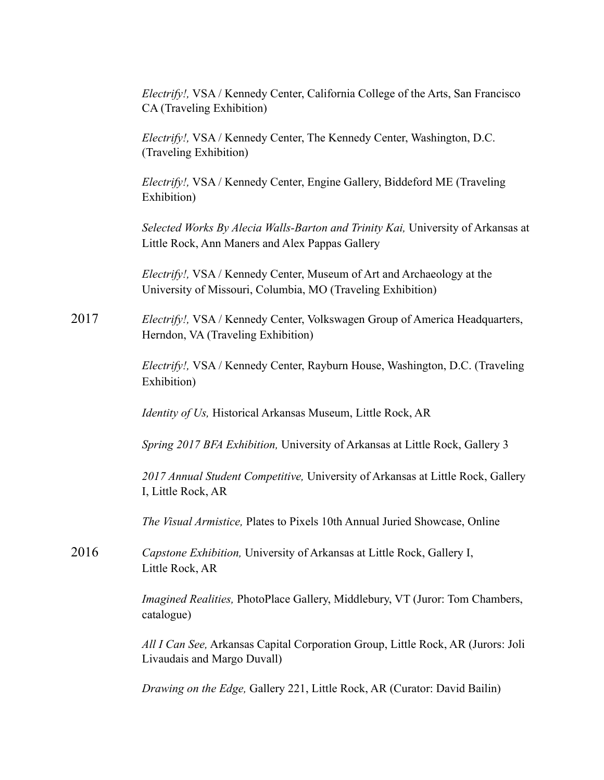*Electrify!,* VSA / Kennedy Center, California College of the Arts, San Francisco CA (Traveling Exhibition)

 *Electrify!,* VSA / Kennedy Center, The Kennedy Center, Washington, D.C. (Traveling Exhibition)

 *Electrify!,* VSA / Kennedy Center, Engine Gallery, Biddeford ME (Traveling Exhibition)

 *Selected Works By Alecia Walls-Barton and Trinity Kai,* University of Arkansas at Little Rock, Ann Maners and Alex Pappas Gallery

 *Electrify!,* VSA / Kennedy Center, Museum of Art and Archaeology at the University of Missouri, Columbia, MO (Traveling Exhibition)

2017 *Electrify!,* VSA / Kennedy Center, Volkswagen Group of America Headquarters, Herndon, VA (Traveling Exhibition)

> *Electrify!,* VSA / Kennedy Center, Rayburn House, Washington, D.C. (Traveling Exhibition)

*Identity of Us,* Historical Arkansas Museum, Little Rock, AR

*Spring 2017 BFA Exhibition,* University of Arkansas at Little Rock, Gallery 3

 *2017 Annual Student Competitive,* University of Arkansas at Little Rock, Gallery I, Little Rock, AR

*The Visual Armistice,* Plates to Pixels 10th Annual Juried Showcase, Online

2016 *Capstone Exhibition,* University of Arkansas at Little Rock, Gallery I, Little Rock, AR

> *Imagined Realities,* PhotoPlace Gallery, Middlebury, VT (Juror: Tom Chambers, catalogue)

> *All I Can See,* Arkansas Capital Corporation Group, Little Rock, AR (Jurors: Joli Livaudais and Margo Duvall)

*Drawing on the Edge,* Gallery 221, Little Rock, AR (Curator: David Bailin)